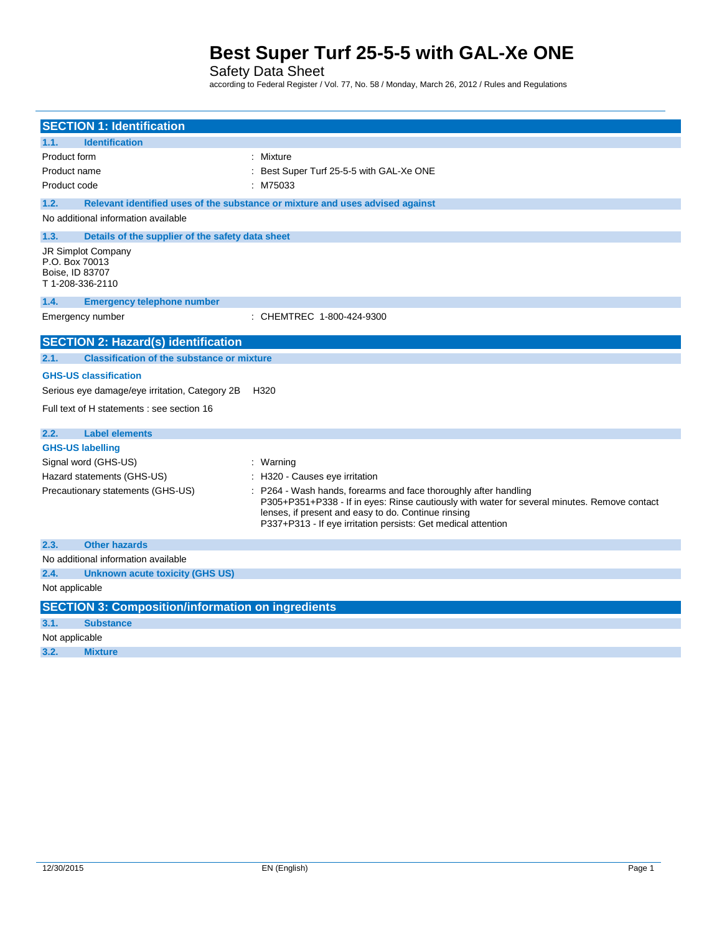## Safety Data Sheet

according to Federal Register / Vol. 77, No. 58 / Monday, March 26, 2012 / Rules and Regulations

| <b>SECTION 1: Identification</b>                                           |                                                                                                                                                                                                                                                                                        |  |  |  |  |  |  |
|----------------------------------------------------------------------------|----------------------------------------------------------------------------------------------------------------------------------------------------------------------------------------------------------------------------------------------------------------------------------------|--|--|--|--|--|--|
| <b>Identification</b><br>1.1.                                              |                                                                                                                                                                                                                                                                                        |  |  |  |  |  |  |
| Product form                                                               | : Mixture                                                                                                                                                                                                                                                                              |  |  |  |  |  |  |
| Product name                                                               | Best Super Turf 25-5-5 with GAL-Xe ONE                                                                                                                                                                                                                                                 |  |  |  |  |  |  |
| Product code<br>: M75033                                                   |                                                                                                                                                                                                                                                                                        |  |  |  |  |  |  |
|                                                                            |                                                                                                                                                                                                                                                                                        |  |  |  |  |  |  |
| 1.2.                                                                       | Relevant identified uses of the substance or mixture and uses advised against                                                                                                                                                                                                          |  |  |  |  |  |  |
| No additional information available                                        |                                                                                                                                                                                                                                                                                        |  |  |  |  |  |  |
| 1.3.<br>Details of the supplier of the safety data sheet                   |                                                                                                                                                                                                                                                                                        |  |  |  |  |  |  |
| JR Simplot Company<br>P.O. Box 70013<br>Boise, ID 83707<br>T1-208-336-2110 |                                                                                                                                                                                                                                                                                        |  |  |  |  |  |  |
| <b>Emergency telephone number</b><br>1.4.                                  |                                                                                                                                                                                                                                                                                        |  |  |  |  |  |  |
| Emergency number                                                           | : CHEMTREC 1-800-424-9300                                                                                                                                                                                                                                                              |  |  |  |  |  |  |
| <b>SECTION 2: Hazard(s) identification</b>                                 |                                                                                                                                                                                                                                                                                        |  |  |  |  |  |  |
| <b>Classification of the substance or mixture</b><br>2.1.                  |                                                                                                                                                                                                                                                                                        |  |  |  |  |  |  |
| <b>GHS-US classification</b>                                               |                                                                                                                                                                                                                                                                                        |  |  |  |  |  |  |
| Serious eye damage/eye irritation, Category 2B                             | H320                                                                                                                                                                                                                                                                                   |  |  |  |  |  |  |
| Full text of H statements : see section 16                                 |                                                                                                                                                                                                                                                                                        |  |  |  |  |  |  |
| 2.2.<br><b>Label elements</b>                                              |                                                                                                                                                                                                                                                                                        |  |  |  |  |  |  |
| <b>GHS-US labelling</b>                                                    |                                                                                                                                                                                                                                                                                        |  |  |  |  |  |  |
| Signal word (GHS-US)                                                       | : Warning                                                                                                                                                                                                                                                                              |  |  |  |  |  |  |
| Hazard statements (GHS-US)                                                 | : H320 - Causes eye irritation                                                                                                                                                                                                                                                         |  |  |  |  |  |  |
| Precautionary statements (GHS-US)                                          | P264 - Wash hands, forearms and face thoroughly after handling<br>P305+P351+P338 - If in eyes: Rinse cautiously with water for several minutes. Remove contact<br>lenses, if present and easy to do. Continue rinsing<br>P337+P313 - If eye irritation persists: Get medical attention |  |  |  |  |  |  |
| <b>Other hazards</b><br>2.3.                                               |                                                                                                                                                                                                                                                                                        |  |  |  |  |  |  |
| No additional information available                                        |                                                                                                                                                                                                                                                                                        |  |  |  |  |  |  |
| 2.4.<br><b>Unknown acute toxicity (GHS US)</b>                             |                                                                                                                                                                                                                                                                                        |  |  |  |  |  |  |
| Not applicable                                                             |                                                                                                                                                                                                                                                                                        |  |  |  |  |  |  |
| <b>SECTION 3: Composition/information on ingredients</b>                   |                                                                                                                                                                                                                                                                                        |  |  |  |  |  |  |
| 3.1.<br><b>Substance</b>                                                   |                                                                                                                                                                                                                                                                                        |  |  |  |  |  |  |
| Not applicable                                                             |                                                                                                                                                                                                                                                                                        |  |  |  |  |  |  |
| 3.2.<br><b>Mixture</b>                                                     |                                                                                                                                                                                                                                                                                        |  |  |  |  |  |  |
|                                                                            |                                                                                                                                                                                                                                                                                        |  |  |  |  |  |  |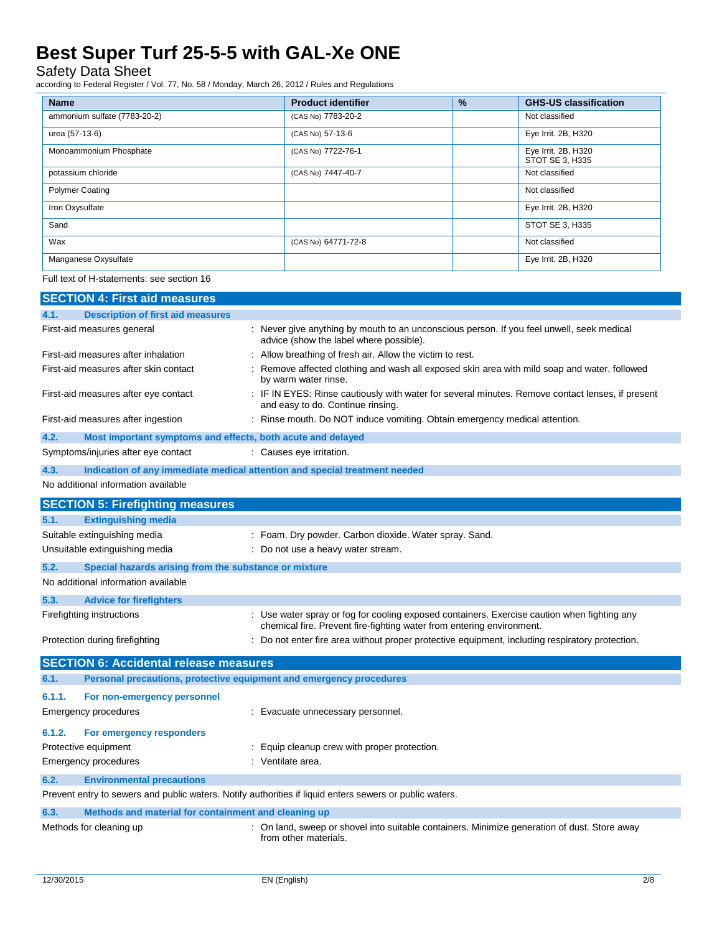### Safety Data Sheet

according to Federal Register / Vol. 77, No. 58 / Monday, March 26, 2012 / Rules and Regulations

| <b>Name</b>                  | <b>Product identifier</b> | % | <b>GHS-US classification</b>           |
|------------------------------|---------------------------|---|----------------------------------------|
| ammonium sulfate (7783-20-2) | (CAS No) 7783-20-2        |   | Not classified                         |
| urea (57-13-6)               | (CAS No) 57-13-6          |   | Eye Irrit. 2B, H320                    |
| Monoammonium Phosphate       | (CAS No) 7722-76-1        |   | Eye Irrit. 2B, H320<br>STOT SE 3, H335 |
| potassium chloride           | (CAS No) 7447-40-7        |   | Not classified                         |
| <b>Polymer Coating</b>       |                           |   | Not classified                         |
| Iron Oxysulfate              |                           |   | Eye Irrit. 2B, H320                    |
| Sand                         |                           |   | STOT SE 3, H335                        |
| Wax                          | (CAS No) 64771-72-8       |   | Not classified                         |
| Manganese Oxysulfate         |                           |   | Eye Irrit. 2B, H320                    |

Full text of H-statements: see section 16

| <b>SECTION 4: First aid measures</b>                                                                    |                                                                                                                                                                      |  |  |  |
|---------------------------------------------------------------------------------------------------------|----------------------------------------------------------------------------------------------------------------------------------------------------------------------|--|--|--|
| <b>Description of first aid measures</b><br>4.1.                                                        |                                                                                                                                                                      |  |  |  |
| First-aid measures general                                                                              | : Never give anything by mouth to an unconscious person. If you feel unwell, seek medical<br>advice (show the label where possible).                                 |  |  |  |
| First-aid measures after inhalation                                                                     | : Allow breathing of fresh air. Allow the victim to rest.                                                                                                            |  |  |  |
| First-aid measures after skin contact                                                                   | : Remove affected clothing and wash all exposed skin area with mild soap and water, followed<br>by warm water rinse.                                                 |  |  |  |
| First-aid measures after eye contact                                                                    | : IF IN EYES: Rinse cautiously with water for several minutes. Remove contact lenses, if present<br>and easy to do. Continue rinsing.                                |  |  |  |
| First-aid measures after ingestion                                                                      | : Rinse mouth. Do NOT induce vomiting. Obtain emergency medical attention.                                                                                           |  |  |  |
| 4.2.<br>Most important symptoms and effects, both acute and delayed                                     |                                                                                                                                                                      |  |  |  |
| Symptoms/injuries after eye contact                                                                     | : Causes eye irritation.                                                                                                                                             |  |  |  |
| 4.3.<br>Indication of any immediate medical attention and special treatment needed                      |                                                                                                                                                                      |  |  |  |
| No additional information available                                                                     |                                                                                                                                                                      |  |  |  |
| <b>SECTION 5: Firefighting measures</b>                                                                 |                                                                                                                                                                      |  |  |  |
| 5.1.<br><b>Extinguishing media</b>                                                                      |                                                                                                                                                                      |  |  |  |
| Suitable extinguishing media                                                                            | : Foam. Dry powder. Carbon dioxide. Water spray. Sand.                                                                                                               |  |  |  |
| Unsuitable extinguishing media<br>: Do not use a heavy water stream.                                    |                                                                                                                                                                      |  |  |  |
| 5.2.<br>Special hazards arising from the substance or mixture                                           |                                                                                                                                                                      |  |  |  |
| No additional information available                                                                     |                                                                                                                                                                      |  |  |  |
| 5.3.<br><b>Advice for firefighters</b>                                                                  |                                                                                                                                                                      |  |  |  |
| Firefighting instructions                                                                               | : Use water spray or fog for cooling exposed containers. Exercise caution when fighting any<br>chemical fire. Prevent fire-fighting water from entering environment. |  |  |  |
| Protection during firefighting                                                                          | : Do not enter fire area without proper protective equipment, including respiratory protection.                                                                      |  |  |  |
| <b>SECTION 6: Accidental release measures</b>                                                           |                                                                                                                                                                      |  |  |  |
| Personal precautions, protective equipment and emergency procedures<br>6.1.                             |                                                                                                                                                                      |  |  |  |
| 6.1.1.<br>For non-emergency personnel                                                                   |                                                                                                                                                                      |  |  |  |
| <b>Emergency procedures</b>                                                                             | : Evacuate unnecessary personnel.                                                                                                                                    |  |  |  |
| 6.1.2.<br>For emergency responders                                                                      |                                                                                                                                                                      |  |  |  |
| Protective equipment                                                                                    | : Equip cleanup crew with proper protection.                                                                                                                         |  |  |  |
| <b>Emergency procedures</b>                                                                             | : Ventilate area.                                                                                                                                                    |  |  |  |
| 6.2.<br><b>Environmental precautions</b>                                                                |                                                                                                                                                                      |  |  |  |
| Prevent entry to sewers and public waters. Notify authorities if liquid enters sewers or public waters. |                                                                                                                                                                      |  |  |  |
| 6.3.<br>Methods and material for containment and cleaning up                                            |                                                                                                                                                                      |  |  |  |
| Methods for cleaning up                                                                                 | : On land, sweep or shovel into suitable containers. Minimize generation of dust. Store away<br>from other materials.                                                |  |  |  |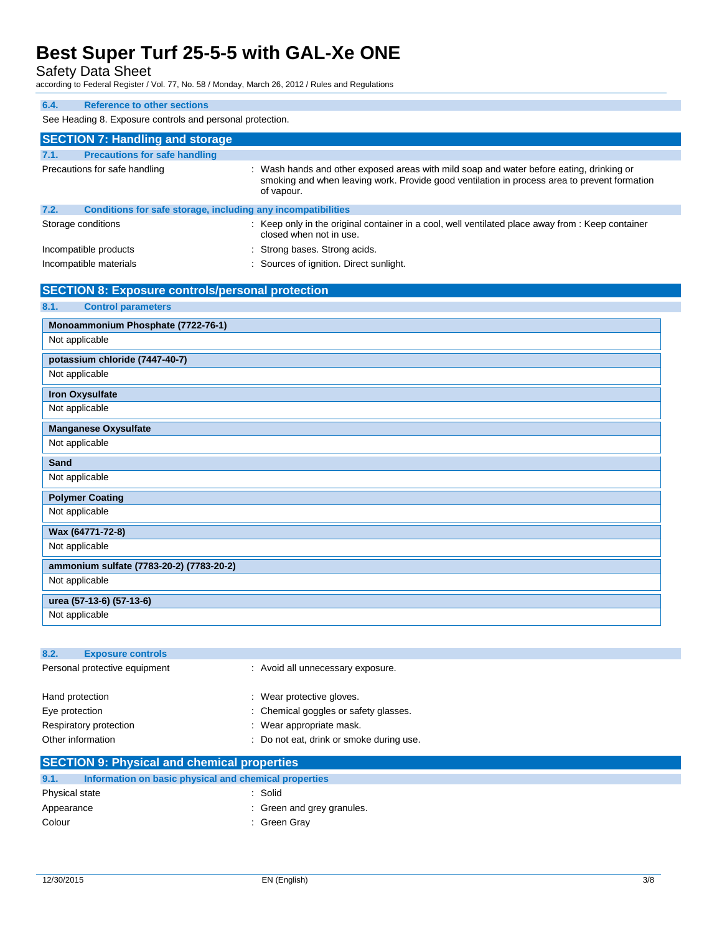Safety Data Sheet

according to Federal Register / Vol. 77, No. 58 / Monday, March 26, 2012 / Rules and Regulations

| 6.4.<br><b>Reference to other sections</b>                           |                                                                                                                                                                                                        |  |  |  |  |  |  |
|----------------------------------------------------------------------|--------------------------------------------------------------------------------------------------------------------------------------------------------------------------------------------------------|--|--|--|--|--|--|
| See Heading 8. Exposure controls and personal protection.            |                                                                                                                                                                                                        |  |  |  |  |  |  |
| <b>SECTION 7: Handling and storage</b>                               |                                                                                                                                                                                                        |  |  |  |  |  |  |
| <b>Precautions for safe handling</b><br>7.1.                         |                                                                                                                                                                                                        |  |  |  |  |  |  |
| Precautions for safe handling                                        | : Wash hands and other exposed areas with mild soap and water before eating, drinking or<br>smoking and when leaving work. Provide good ventilation in process area to prevent formation<br>of vapour. |  |  |  |  |  |  |
| Conditions for safe storage, including any incompatibilities<br>7.2. |                                                                                                                                                                                                        |  |  |  |  |  |  |
| Storage conditions                                                   | : Keep only in the original container in a cool, well ventilated place away from : Keep container<br>closed when not in use.                                                                           |  |  |  |  |  |  |
| Incompatible products                                                | Strong bases. Strong acids.                                                                                                                                                                            |  |  |  |  |  |  |
| Incompatible materials                                               | Sources of ignition. Direct sunlight.                                                                                                                                                                  |  |  |  |  |  |  |
| <b>SECTION 8: Exposure controls/personal protection</b>              |                                                                                                                                                                                                        |  |  |  |  |  |  |
| 8.1.<br><b>Control parameters</b>                                    |                                                                                                                                                                                                        |  |  |  |  |  |  |
| Monoammonium Phosphate (7722-76-1)                                   |                                                                                                                                                                                                        |  |  |  |  |  |  |
| Not applicable                                                       |                                                                                                                                                                                                        |  |  |  |  |  |  |
| potassium chloride (7447-40-7)                                       |                                                                                                                                                                                                        |  |  |  |  |  |  |
| Not applicable                                                       |                                                                                                                                                                                                        |  |  |  |  |  |  |
| <b>Iron Oxysulfate</b>                                               |                                                                                                                                                                                                        |  |  |  |  |  |  |
| Not applicable                                                       |                                                                                                                                                                                                        |  |  |  |  |  |  |
| <b>Manganese Oxysulfate</b>                                          |                                                                                                                                                                                                        |  |  |  |  |  |  |
| Not applicable                                                       |                                                                                                                                                                                                        |  |  |  |  |  |  |
| Sand                                                                 |                                                                                                                                                                                                        |  |  |  |  |  |  |
| Not applicable                                                       |                                                                                                                                                                                                        |  |  |  |  |  |  |
| <b>Polymer Coating</b>                                               |                                                                                                                                                                                                        |  |  |  |  |  |  |
| Not applicable                                                       |                                                                                                                                                                                                        |  |  |  |  |  |  |
| Wax (64771-72-8)                                                     |                                                                                                                                                                                                        |  |  |  |  |  |  |
| Not applicable                                                       |                                                                                                                                                                                                        |  |  |  |  |  |  |
| ammonium sulfate (7783-20-2) (7783-20-2)                             |                                                                                                                                                                                                        |  |  |  |  |  |  |
| Not applicable                                                       |                                                                                                                                                                                                        |  |  |  |  |  |  |
| urea (57-13-6) (57-13-6)                                             |                                                                                                                                                                                                        |  |  |  |  |  |  |
| Not applicable                                                       |                                                                                                                                                                                                        |  |  |  |  |  |  |
|                                                                      |                                                                                                                                                                                                        |  |  |  |  |  |  |

| 8.2.<br><b>Exposure controls</b>                   |                                          |  |
|----------------------------------------------------|------------------------------------------|--|
| Personal protective equipment                      | : Avoid all unnecessary exposure.        |  |
| Hand protection                                    | : Wear protective gloves.                |  |
| Eye protection                                     | : Chemical goggles or safety glasses.    |  |
| Respiratory protection                             | : Wear appropriate mask.                 |  |
| Other information                                  | : Do not eat, drink or smoke during use. |  |
| <b>SECTION 9: Physical and chemical properties</b> |                                          |  |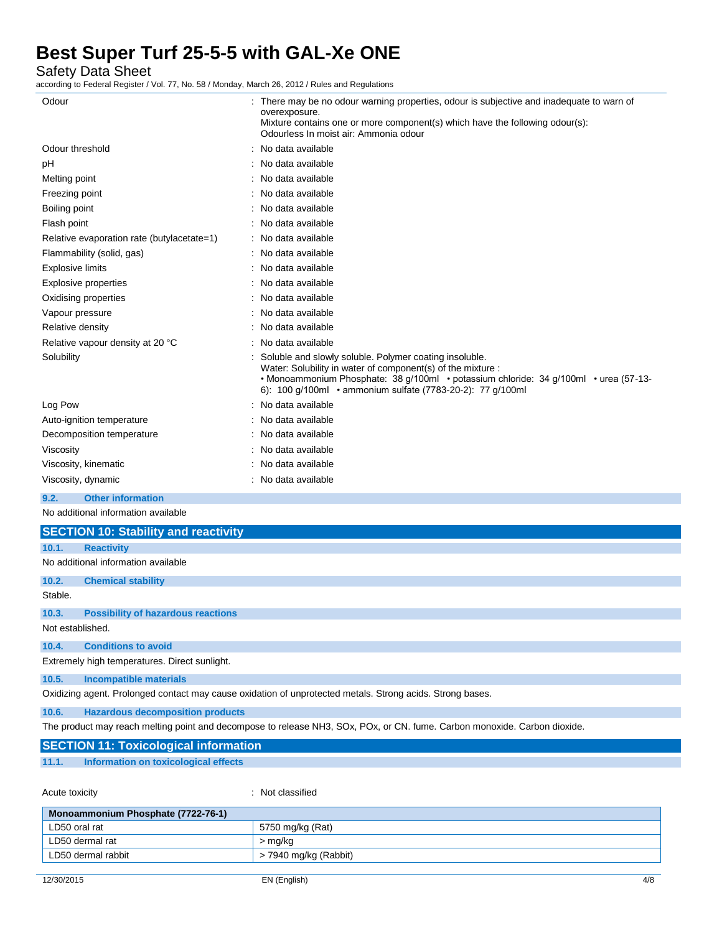Safety Data Sheet

according to Federal Register / Vol. 77, No. 58 / Monday, March 26, 2012 / Rules and Regulations

| Odour                                      | : There may be no odour warning properties, odour is subjective and inadequate to warn of<br>overexposure.<br>Mixture contains one or more component(s) which have the following odour(s):<br>Odourless In moist air: Ammonia odour                                         |
|--------------------------------------------|-----------------------------------------------------------------------------------------------------------------------------------------------------------------------------------------------------------------------------------------------------------------------------|
| Odour threshold                            | : No data available                                                                                                                                                                                                                                                         |
| рH                                         | No data available                                                                                                                                                                                                                                                           |
| Melting point                              | : No data available                                                                                                                                                                                                                                                         |
| Freezing point                             | No data available                                                                                                                                                                                                                                                           |
| Boiling point                              | : No data available                                                                                                                                                                                                                                                         |
| Flash point                                | : No data available                                                                                                                                                                                                                                                         |
| Relative evaporation rate (butylacetate=1) | : No data available                                                                                                                                                                                                                                                         |
| Flammability (solid, gas)                  | : No data available                                                                                                                                                                                                                                                         |
| <b>Explosive limits</b>                    | : No data available                                                                                                                                                                                                                                                         |
| Explosive properties                       | : No data available                                                                                                                                                                                                                                                         |
| Oxidising properties                       | No data available                                                                                                                                                                                                                                                           |
| Vapour pressure                            | : No data available                                                                                                                                                                                                                                                         |
| Relative density                           | No data available                                                                                                                                                                                                                                                           |
| Relative vapour density at 20 °C           | No data available                                                                                                                                                                                                                                                           |
| Solubility                                 | Soluble and slowly soluble. Polymer coating insoluble.<br>Water: Solubility in water of component(s) of the mixture :<br>• Monoammonium Phosphate: 38 g/100ml • potassium chloride: 34 g/100ml • urea (57-13-<br>6): 100 g/100ml • ammonium sulfate (7783-20-2): 77 g/100ml |
| Log Pow                                    | No data available                                                                                                                                                                                                                                                           |
| Auto-ignition temperature                  | : No data available                                                                                                                                                                                                                                                         |
| Decomposition temperature                  | No data available                                                                                                                                                                                                                                                           |
| Viscosity                                  | No data available                                                                                                                                                                                                                                                           |
| Viscosity, kinematic                       | No data available                                                                                                                                                                                                                                                           |
| Viscosity, dynamic                         | : No data available                                                                                                                                                                                                                                                         |
|                                            |                                                                                                                                                                                                                                                                             |

### **9.2. Other information**

No additional information available

|                  | <b>SECTION 10: Stability and reactivity</b>                                                               |
|------------------|-----------------------------------------------------------------------------------------------------------|
| 10.1.            | <b>Reactivity</b>                                                                                         |
|                  | No additional information available                                                                       |
| 10.2.            | <b>Chemical stability</b>                                                                                 |
| Stable.          |                                                                                                           |
| 10.3.            | <b>Possibility of hazardous reactions</b>                                                                 |
| Not established. |                                                                                                           |
| 10.4.            | <b>Conditions to avoid</b>                                                                                |
|                  | Extremely high temperatures. Direct sunlight.                                                             |
| 10.5.            | <b>Incompatible materials</b>                                                                             |
|                  | Oxidizing agent. Prolonged contact may cause oxidation of unprotected metals. Strong acids. Strong bases. |
| ADC              | Herevelette desemperation producto                                                                        |

**10.6. Hazardous decomposition products**

The product may reach melting point and decompose to release NH3, SOx, POx, or CN. fume. Carbon monoxide. Carbon dioxide.

|  |  | <b>SECTION 11: Toxicological information</b> |  |  |  |  |  |  |  |  |  |  |
|--|--|----------------------------------------------|--|--|--|--|--|--|--|--|--|--|
|  |  |                                              |  |  |  |  |  |  |  |  |  |  |
|  |  |                                              |  |  |  |  |  |  |  |  |  |  |

### **11.1. Information on toxicological effects**

Acute toxicity **in the case of the contract of the case of the contract of the contract of the contract of the contract of the contract of the contract of the contract of the contract of the contract of the contract of the** 

| Monoammonium Phosphate (7722-76-1) |                       |  |  |  |  |  |
|------------------------------------|-----------------------|--|--|--|--|--|
| LD50 oral rat                      | 5750 mg/kg (Rat)      |  |  |  |  |  |
| LD50 dermal rat                    | > mg/kg               |  |  |  |  |  |
| 'LD50 dermal rabbit                | > 7940 mg/kg (Rabbit) |  |  |  |  |  |
|                                    |                       |  |  |  |  |  |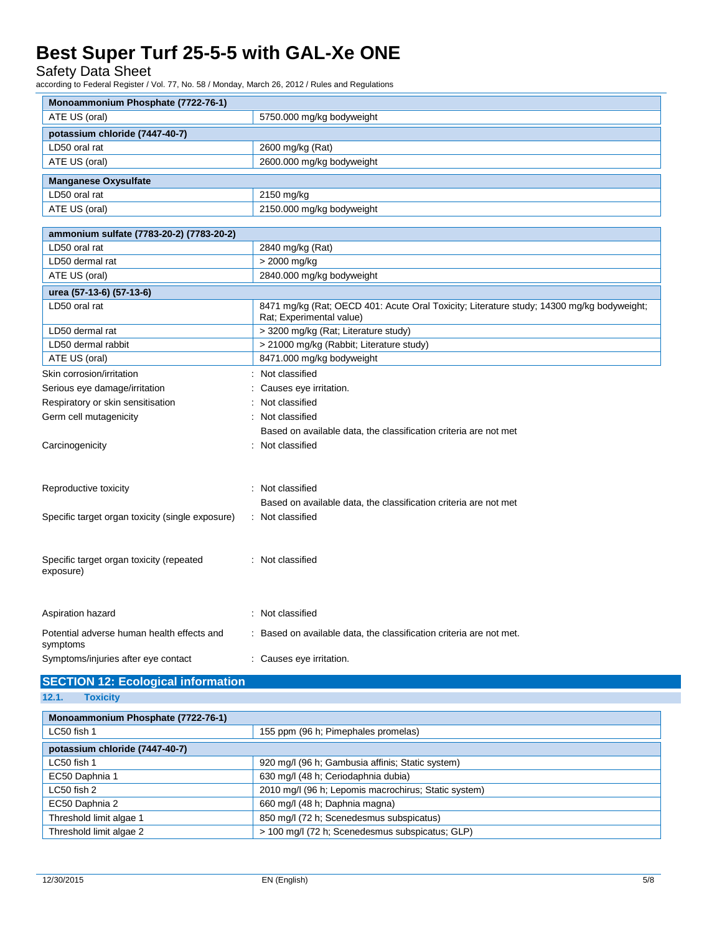Safety Data Sheet

according to Federal Register / Vol. 77, No. 58 / Monday, March 26, 2012 / Rules and Regulations

| Monoammonium Phosphate (7722-76-1)                        |                                                                                                                       |
|-----------------------------------------------------------|-----------------------------------------------------------------------------------------------------------------------|
| ATE US (oral)                                             | 5750.000 mg/kg bodyweight                                                                                             |
| potassium chloride (7447-40-7)                            |                                                                                                                       |
| LD50 oral rat                                             | 2600 mg/kg (Rat)                                                                                                      |
| ATE US (oral)                                             | 2600.000 mg/kg bodyweight                                                                                             |
| <b>Manganese Oxysulfate</b>                               |                                                                                                                       |
| LD50 oral rat                                             | 2150 mg/kg                                                                                                            |
| ATE US (oral)                                             | 2150.000 mg/kg bodyweight                                                                                             |
|                                                           |                                                                                                                       |
| ammonium sulfate (7783-20-2) (7783-20-2)<br>LD50 oral rat |                                                                                                                       |
| LD50 dermal rat                                           | 2840 mg/kg (Rat)<br>> 2000 mg/kg                                                                                      |
| ATE US (oral)                                             | 2840.000 mg/kg bodyweight                                                                                             |
|                                                           |                                                                                                                       |
| urea (57-13-6) (57-13-6)                                  |                                                                                                                       |
| LD50 oral rat                                             | 8471 mg/kg (Rat; OECD 401: Acute Oral Toxicity; Literature study; 14300 mg/kg bodyweight;<br>Rat; Experimental value) |
| LD50 dermal rat                                           | > 3200 mg/kg (Rat; Literature study)                                                                                  |
| LD50 dermal rabbit                                        | > 21000 mg/kg (Rabbit; Literature study)                                                                              |
| ATE US (oral)                                             | 8471.000 mg/kg bodyweight                                                                                             |
| Skin corrosion/irritation                                 | Not classified                                                                                                        |
| Serious eye damage/irritation                             | Causes eye irritation.                                                                                                |
| Respiratory or skin sensitisation                         | Not classified                                                                                                        |
| Germ cell mutagenicity                                    | Not classified                                                                                                        |
|                                                           | Based on available data, the classification criteria are not met                                                      |
| Carcinogenicity                                           | Not classified                                                                                                        |
|                                                           |                                                                                                                       |
| Reproductive toxicity                                     | Not classified                                                                                                        |
|                                                           | Based on available data, the classification criteria are not met                                                      |
| Specific target organ toxicity (single exposure)          | : Not classified                                                                                                      |
|                                                           |                                                                                                                       |
| Specific target organ toxicity (repeated                  | : Not classified                                                                                                      |
| exposure)                                                 |                                                                                                                       |
| Aspiration hazard                                         | Not classified                                                                                                        |
| Potential adverse human health effects and                | : Based on available data, the classification criteria are not met.                                                   |
| symptoms<br>Symptoms/injuries after eye contact           | : Causes eye irritation.                                                                                              |
|                                                           |                                                                                                                       |

## **SECTION 12: Ecological information 12.1. Toxicity**

| Monoammonium Phosphate (7722-76-1) |                                                      |  |  |  |  |  |
|------------------------------------|------------------------------------------------------|--|--|--|--|--|
| LC50 fish 1                        | 155 ppm (96 h; Pimephales promelas)                  |  |  |  |  |  |
| potassium chloride (7447-40-7)     |                                                      |  |  |  |  |  |
| LC50 fish 1                        | 920 mg/l (96 h; Gambusia affinis; Static system)     |  |  |  |  |  |
| EC50 Daphnia 1                     | 630 mg/l (48 h; Ceriodaphnia dubia)                  |  |  |  |  |  |
| $LC50$ fish $2$                    | 2010 mg/l (96 h; Lepomis macrochirus; Static system) |  |  |  |  |  |
| EC50 Daphnia 2                     | 660 mg/l (48 h; Daphnia magna)                       |  |  |  |  |  |
| Threshold limit algae 1            | 850 mg/l (72 h; Scenedesmus subspicatus)             |  |  |  |  |  |
| Threshold limit algae 2            | > 100 mg/l (72 h; Scenedesmus subspicatus; GLP)      |  |  |  |  |  |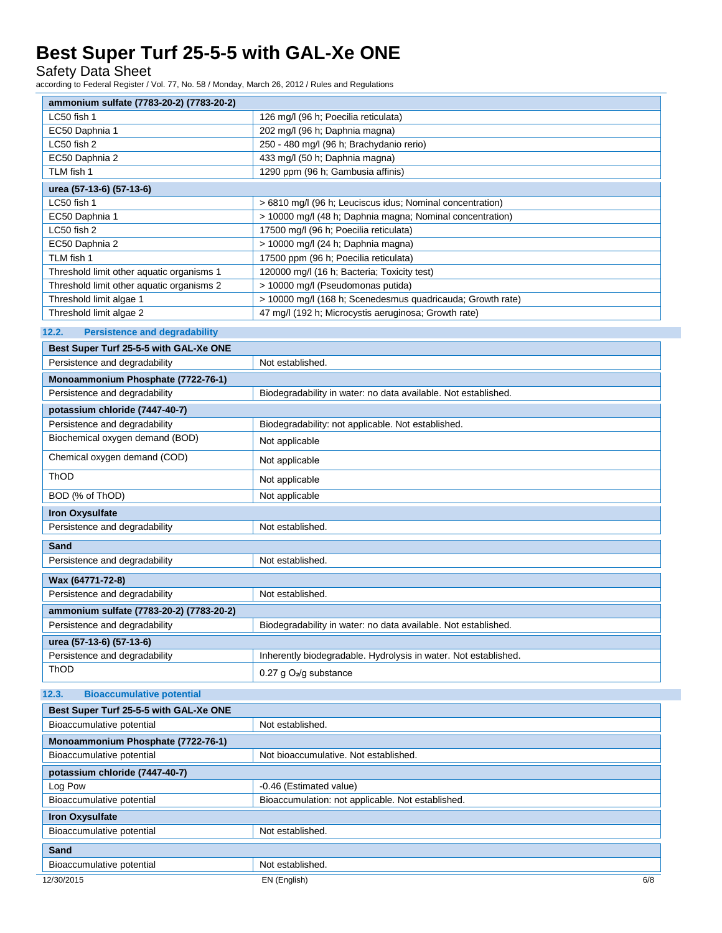Safety Data Sheet

according to Federal Register / Vol. 77, No. 58 / Monday, March 26, 2012 / Rules and Regulations

| ammonium sulfate (7783-20-2) (7783-20-2)<br>LC50 fish 1 | 126 mg/l (96 h; Poecilia reticulata)                                       |  |  |
|---------------------------------------------------------|----------------------------------------------------------------------------|--|--|
| EC50 Daphnia 1                                          |                                                                            |  |  |
| LC50 fish 2                                             | 202 mg/l (96 h; Daphnia magna)<br>250 - 480 mg/l (96 h; Brachydanio rerio) |  |  |
| EC50 Daphnia 2                                          | 433 mg/l (50 h; Daphnia magna)                                             |  |  |
| TLM fish 1                                              | 1290 ppm (96 h; Gambusia affinis)                                          |  |  |
|                                                         |                                                                            |  |  |
| urea (57-13-6) (57-13-6)                                |                                                                            |  |  |
| LC50 fish 1                                             | > 6810 mg/l (96 h; Leuciscus idus; Nominal concentration)                  |  |  |
| EC50 Daphnia 1                                          | > 10000 mg/l (48 h; Daphnia magna; Nominal concentration)                  |  |  |
| LC50 fish 2                                             | 17500 mg/l (96 h; Poecilia reticulata)                                     |  |  |
| EC50 Daphnia 2                                          | > 10000 mg/l (24 h; Daphnia magna)                                         |  |  |
| TLM fish 1                                              | 17500 ppm (96 h; Poecilia reticulata)                                      |  |  |
| Threshold limit other aquatic organisms 1               | 120000 mg/l (16 h; Bacteria; Toxicity test)                                |  |  |
| Threshold limit other aquatic organisms 2               | > 10000 mg/l (Pseudomonas putida)                                          |  |  |
| Threshold limit algae 1                                 | > 10000 mg/l (168 h; Scenedesmus quadricauda; Growth rate)                 |  |  |
| Threshold limit algae 2                                 | 47 mg/l (192 h; Microcystis aeruginosa; Growth rate)                       |  |  |
| 12.2.<br><b>Persistence and degradability</b>           |                                                                            |  |  |
| Best Super Turf 25-5-5 with GAL-Xe ONE                  |                                                                            |  |  |
| Persistence and degradability                           | Not established.                                                           |  |  |
| Monoammonium Phosphate (7722-76-1)                      |                                                                            |  |  |
| Persistence and degradability                           | Biodegradability in water: no data available. Not established.             |  |  |
| potassium chloride (7447-40-7)                          |                                                                            |  |  |
| Persistence and degradability                           | Biodegradability: not applicable. Not established.                         |  |  |
| Biochemical oxygen demand (BOD)                         | Not applicable                                                             |  |  |
| Chemical oxygen demand (COD)                            |                                                                            |  |  |
|                                                         | Not applicable                                                             |  |  |
| ThOD                                                    | Not applicable                                                             |  |  |
| BOD (% of ThOD)                                         | Not applicable                                                             |  |  |
| <b>Iron Oxysulfate</b>                                  |                                                                            |  |  |
| Persistence and degradability                           | Not established.                                                           |  |  |
| Sand                                                    |                                                                            |  |  |
| Persistence and degradability                           | Not established.                                                           |  |  |
| Wax (64771-72-8)                                        |                                                                            |  |  |
| Persistence and degradability                           | Not established.                                                           |  |  |
| ammonium sulfate (7783-20-2) (7783-20-2)                |                                                                            |  |  |
| Persistence and degradability                           | Biodegradability in water: no data available. Not established.             |  |  |
|                                                         |                                                                            |  |  |
| urea (57-13-6) (57-13-6)                                |                                                                            |  |  |
| Persistence and degradability                           | Inherently biodegradable. Hydrolysis in water. Not established.            |  |  |
| ThOD                                                    | 0.27 g $O_2$ /g substance                                                  |  |  |
| 12.3.<br><b>Bioaccumulative potential</b>               |                                                                            |  |  |
| Best Super Turf 25-5-5 with GAL-Xe ONE                  |                                                                            |  |  |
| Bioaccumulative potential                               | Not established.                                                           |  |  |
| Monoammonium Phosphate (7722-76-1)                      |                                                                            |  |  |
| Bioaccumulative potential                               | Not bioaccumulative. Not established.                                      |  |  |
| potassium chloride (7447-40-7)                          |                                                                            |  |  |

| Divaccurrigative potential     | inul biuaccumulative. Inul established.           |     |  |
|--------------------------------|---------------------------------------------------|-----|--|
| potassium chloride (7447-40-7) |                                                   |     |  |
| Log Pow                        | -0.46 (Estimated value)                           |     |  |
| Bioaccumulative potential      | Bioaccumulation: not applicable. Not established. |     |  |
| <b>Iron Oxysulfate</b>         |                                                   |     |  |
| Bioaccumulative potential      | Not established.                                  |     |  |
| Sand                           |                                                   |     |  |
| Bioaccumulative potential      | Not established.                                  |     |  |
| 12/30/2015                     | EN (English)                                      | 6/8 |  |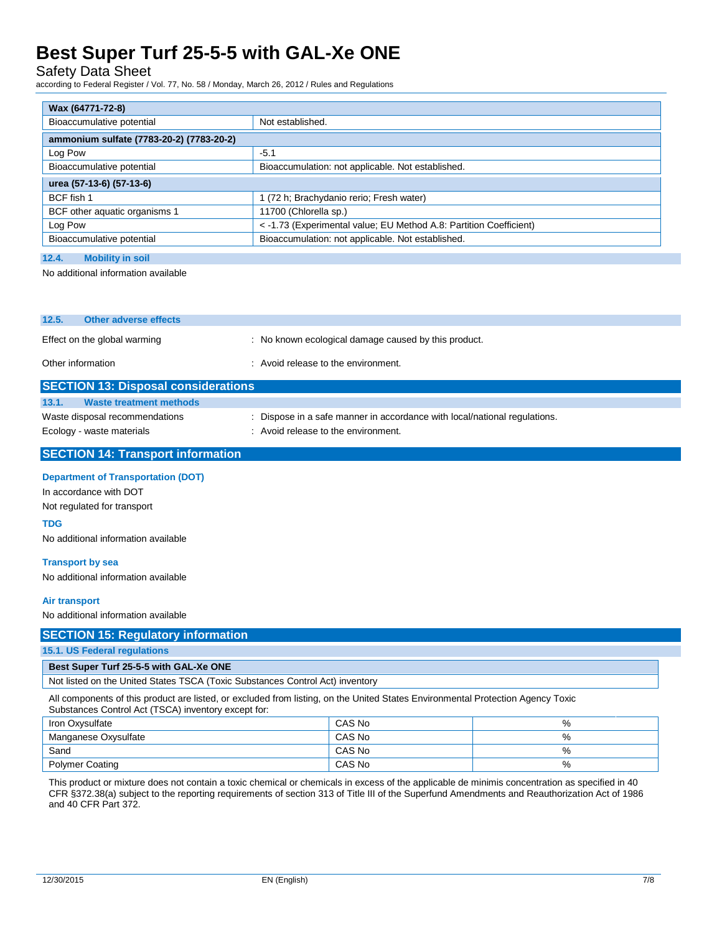Safety Data Sheet

according to Federal Register / Vol. 77, No. 58 / Monday, March 26, 2012 / Rules and Regulations

| Wax (64771-72-8)                              |                                                                    |  |  |
|-----------------------------------------------|--------------------------------------------------------------------|--|--|
| Bioaccumulative potential<br>Not established. |                                                                    |  |  |
| ammonium sulfate (7783-20-2) (7783-20-2)      |                                                                    |  |  |
| Log Pow                                       | $-5.1$                                                             |  |  |
| Bioaccumulative potential                     | Bioaccumulation: not applicable. Not established.                  |  |  |
| urea (57-13-6) (57-13-6)                      |                                                                    |  |  |
| BCF fish 1                                    | 1 (72 h; Brachydanio rerio; Fresh water)                           |  |  |
| BCF other aquatic organisms 1                 | 11700 (Chlorella sp.)                                              |  |  |
| Log Pow                                       | < -1.73 (Experimental value; EU Method A.8: Partition Coefficient) |  |  |
| Bioaccumulative potential                     | Bioaccumulation: not applicable. Not established.                  |  |  |
| 12.4.<br><b>Mobility in soil</b>              |                                                                    |  |  |

No additional information available

| 12.5.                                      | Other adverse effects          |                                                                           |  |  |
|--------------------------------------------|--------------------------------|---------------------------------------------------------------------------|--|--|
|                                            | Effect on the global warming   | No known ecological damage caused by this product.                        |  |  |
| Other information                          |                                | : Avoid release to the environment.                                       |  |  |
| <b>SECTION 13: Disposal considerations</b> |                                |                                                                           |  |  |
| 13.1.                                      | <b>Waste treatment methods</b> |                                                                           |  |  |
|                                            | Waste disposal recommendations | : Dispose in a safe manner in accordance with local/national regulations. |  |  |

Ecology - waste materials **Ecology** - waste materials **interval** : Avoid release to the environment.

## **SECTION 14: Transport information**

### **Department of Transportation (DOT)**

In accordance with DOT Not regulated for transport

**TDG**

No additional information available

### **Transport by sea**

No additional information available

### **Air transport**

No additional information available

### **SECTION 15: Regulatory information**

#### **15.1. US Federal regulations**

### **Best Super Turf 25-5-5 with GAL-Xe ONE**

Not listed on the United States TSCA (Toxic Substances Control Act) inventory

All components of this product are listed, or excluded from listing, on the United States Environmental Protection Agency Toxic Substances Control Act (TSCA) inventory except for:

| Iron Oxysulfate        | CAS No | % |
|------------------------|--------|---|
| Manganese Oxysulfate   | CAS No | % |
| Sand                   | CAS No | % |
| <b>Polymer Coating</b> | CAS No | % |

This product or mixture does not contain a toxic chemical or chemicals in excess of the applicable de minimis concentration as specified in 40 CFR §372.38(a) subject to the reporting requirements of section 313 of Title III of the Superfund Amendments and Reauthorization Act of 1986 and 40 CFR Part 372.